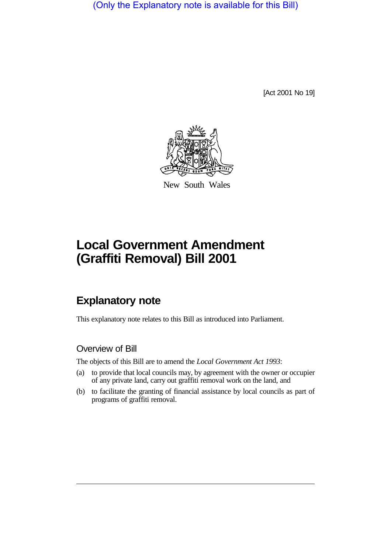(Only the Explanatory note is available for this Bill)

[Act 2001 No 19]



New South Wales

## **Local Government Amendment (Graffiti Removal) Bill 2001**

## **Explanatory note**

This explanatory note relates to this Bill as introduced into Parliament.

## Overview of Bill

The objects of this Bill are to amend the *Local Government Act 1993*:

- (a) to provide that local councils may, by agreement with the owner or occupier of any private land, carry out graffiti removal work on the land, and
- (b) to facilitate the granting of financial assistance by local councils as part of programs of graffiti removal.